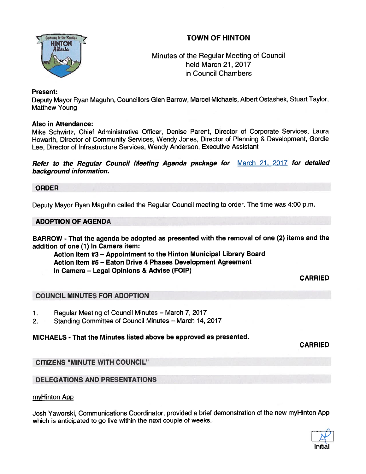## TOWN OF HINTON



Minutes of the Regular Meeting of Council held March 21, 2017 in Council Chambers

#### Present:

Deputy Mayor Ryan Maguhn, Councillors Glen Barrow, Marcel Michaels, Albert Ostashek, Stuart Taylor, Matthew Young

#### Also in Attendance:

Mike Schwirtz, Chief Administrative Officer, Denise Parent, Director of Corporate Services, Laura Howarth, Director of Community Services, Wendy Jones, Director of Planning & Development, Gordie Lee, Director of Infrastructure Services, Wendy Anderson, Executive Assistant

Refer to the Regular Council Meeting Agenda package for March 21, 2017 for detailed background information.

#### ORDER

Deputy Mayor Ryan Maguhn called the Regular Council meeting to order. The time was 4:00 p.m.

## ADOPTION OF AGENDA

BARROW - That the agenda be adopted as presented with the removal of one (2) items and the addition of one (1) In Camera item:

Action Item #3 — Appointment to the Hinton Municipal Library Board Action Item #5 — Eaton Drive 4 Phases Development Agreement In Camera — Legal Opinions & Advise (FOIP)

CARRIED

## COUNCIL MINUTES FOR ADOPTION

- 1. Regular Meeting of Council Minutes March 7, 2017
- 2. Standing Committee of Council Minutes March 14, 2017

#### MICHAELS - That the Minutes listed above be approved as presented.

CARRIED

## CITIZENS "MINUTE WITH COUNCIL"

## DELEGATIONS AND PRESENTATIONS

#### myHinton App

Josh Yaworski, Communications Coordinator, provided <sup>a</sup> brief demonstration of the new myHinton App which is anticipated to go live within the next couple of weeks.

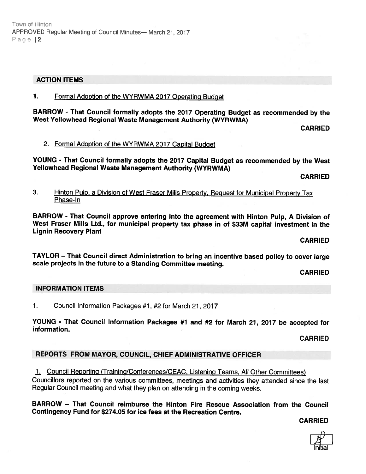## ACTION ITEMS

## 1. Formal Adoption of the WYRWMA 2017 Operating Budget

BARROW - That Council formally adopts the <sup>2077</sup> Operating Budget as recommended by the West Yellowhead Regional Waste Management Authority (WYRWMA)

CARRIED

## 2. Formal Adoption of the WYRWMA 2017 Capital Budget

YOUNG - That Council formally adopts the <sup>2077</sup> Capital Budget as recommended by the West Yellowhead Regional Waste Management Authority (WYRWMA)

CARRIED

3. Hinton Pulp, <sup>a</sup> Division of West Fraser Mills Property, Reguest for Municipal Property Tax Phase-In

BARROW - That Council approve entering into the agreemen<sup>t</sup> with Hinton Pulp, <sup>A</sup> Division of West Fraser Mills Ltd., for municipal property tax <sup>p</sup>hase in of \$33M capital investment in the Lignin Recovery Plant

CARRIED

TAYLOR — That Council direct Administration to bring an incentive based policy to cover large scale projects in the future to <sup>a</sup> Standing Committee meeting.

CARRIED

## INFORMATION ITEMS

1. Council Information Packages #1, #2 for March 21, 2017

YOUNG - That Council Information Packages #1 and #2 for March 21, <sup>2017</sup> be accepted for information.

CARRIED

## REPORTS FROM MAYOR, COUNCIL, CHIEF ADMINISTRATIVE OFFICER

1. Council Reporting (Training/Conferences/CEAC, Listening Teams, All Other Committees) Councillors reported on the various committees, meetings and activities they attended since the last Regular Council meeting and what they <sup>p</sup>lan on attending in the coming weeks.

BARROW — That Council reimburse the Hinton Fire Rescue Association from the Council Contingency Fund for \$274.05 for ice fees at the Recreation Centre.

CARRIED

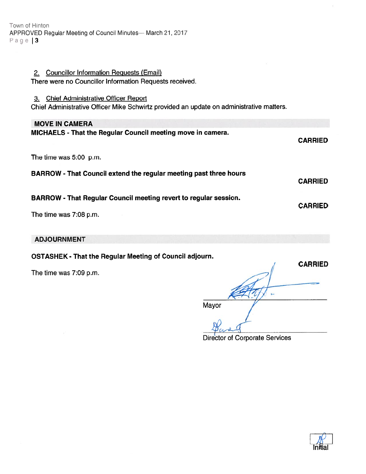Town at Hinton APPROVED Regular Meeting of Council Minutes— March 21, 2017 Page | 3

## 2. Councillor Information Requests (Email) There were no Councillor Information Requests received.

#### 3. Chief Administrative Officer Report

Chief Administrative Officer Mike Schwirtz provided an update on administrative matters.

#### MOVE IN CAMERA

| <b>MICHAELS</b> - That the Regular Council meeting move in camera.       | <b>CARRIED</b> |
|--------------------------------------------------------------------------|----------------|
| The time was 5:00 p.m.                                                   |                |
| <b>BARROW</b> - That Council extend the regular meeting past three hours | <b>CARRIED</b> |
| BARROW - That Regular Council meeting revert to regular session.         | <b>CARRIED</b> |
| The time was 7:08 p.m.                                                   |                |

#### ADJOURNMENT

OSTASHEK - That the Regular Meeting of Council adjourn.

The time was 7:09 p.m.

# **CARRIED** ţ. Mayor

Director of Corporate Services